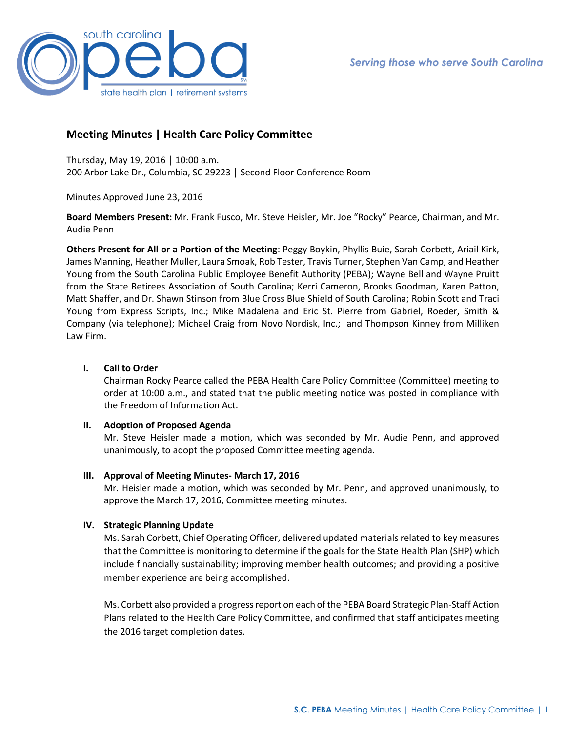

# **Meeting Minutes | Health Care Policy Committee**

Thursday, May 19, 2016 │ 10:00 a.m. 200 Arbor Lake Dr., Columbia, SC 29223 │ Second Floor Conference Room

Minutes Approved June 23, 2016

**Board Members Present:** Mr. Frank Fusco, Mr. Steve Heisler, Mr. Joe "Rocky" Pearce, Chairman, and Mr. Audie Penn

**Others Present for All or a Portion of the Meeting**: Peggy Boykin, Phyllis Buie, Sarah Corbett, Ariail Kirk, James Manning, Heather Muller, Laura Smoak, Rob Tester, Travis Turner, Stephen Van Camp, and Heather Young from the South Carolina Public Employee Benefit Authority (PEBA); Wayne Bell and Wayne Pruitt from the State Retirees Association of South Carolina; Kerri Cameron, Brooks Goodman, Karen Patton, Matt Shaffer, and Dr. Shawn Stinson from Blue Cross Blue Shield of South Carolina; Robin Scott and Traci Young from Express Scripts, Inc.; Mike Madalena and Eric St. Pierre from Gabriel, Roeder, Smith & Company (via telephone); Michael Craig from Novo Nordisk, Inc.; and Thompson Kinney from Milliken Law Firm.

## **I. Call to Order**

Chairman Rocky Pearce called the PEBA Health Care Policy Committee (Committee) meeting to order at 10:00 a.m., and stated that the public meeting notice was posted in compliance with the Freedom of Information Act.

#### **II. Adoption of Proposed Agenda**

Mr. Steve Heisler made a motion, which was seconded by Mr. Audie Penn, and approved unanimously, to adopt the proposed Committee meeting agenda.

#### **III. Approval of Meeting Minutes- March 17, 2016**

Mr. Heisler made a motion, which was seconded by Mr. Penn, and approved unanimously, to approve the March 17, 2016, Committee meeting minutes.

## **IV. Strategic Planning Update**

Ms. Sarah Corbett, Chief Operating Officer, delivered updated materials related to key measures that the Committee is monitoring to determine if the goals for the State Health Plan (SHP) which include financially sustainability; improving member health outcomes; and providing a positive member experience are being accomplished.

Ms. Corbett also provided a progress report on each of the PEBA Board Strategic Plan-Staff Action Plans related to the Health Care Policy Committee, and confirmed that staff anticipates meeting the 2016 target completion dates.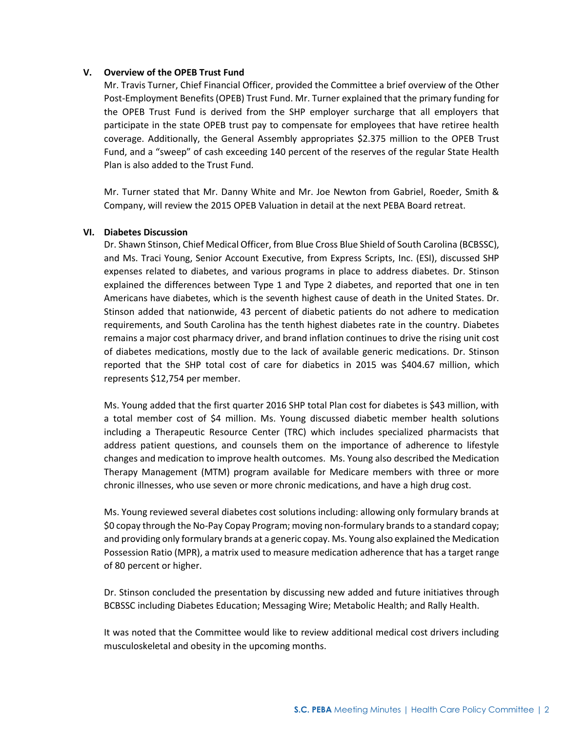### **V. Overview of the OPEB Trust Fund**

Mr. Travis Turner, Chief Financial Officer, provided the Committee a brief overview of the Other Post-Employment Benefits(OPEB) Trust Fund. Mr. Turner explained that the primary funding for the OPEB Trust Fund is derived from the SHP employer surcharge that all employers that participate in the state OPEB trust pay to compensate for employees that have retiree health coverage. Additionally, the General Assembly appropriates \$2.375 million to the OPEB Trust Fund, and a "sweep" of cash exceeding 140 percent of the reserves of the regular State Health Plan is also added to the Trust Fund.

Mr. Turner stated that Mr. Danny White and Mr. Joe Newton from Gabriel, Roeder, Smith & Company, will review the 2015 OPEB Valuation in detail at the next PEBA Board retreat.

## **VI. Diabetes Discussion**

Dr. Shawn Stinson, Chief Medical Officer, from Blue Cross Blue Shield of South Carolina (BCBSSC), and Ms. Traci Young, Senior Account Executive, from Express Scripts, Inc. (ESI), discussed SHP expenses related to diabetes, and various programs in place to address diabetes. Dr. Stinson explained the differences between Type 1 and Type 2 diabetes, and reported that one in ten Americans have diabetes, which is the seventh highest cause of death in the United States. Dr. Stinson added that nationwide, 43 percent of diabetic patients do not adhere to medication requirements, and South Carolina has the tenth highest diabetes rate in the country. Diabetes remains a major cost pharmacy driver, and brand inflation continues to drive the rising unit cost of diabetes medications, mostly due to the lack of available generic medications. Dr. Stinson reported that the SHP total cost of care for diabetics in 2015 was \$404.67 million, which represents \$12,754 per member.

Ms. Young added that the first quarter 2016 SHP total Plan cost for diabetes is \$43 million, with a total member cost of \$4 million. Ms. Young discussed diabetic member health solutions including a Therapeutic Resource Center (TRC) which includes specialized pharmacists that address patient questions, and counsels them on the importance of adherence to lifestyle changes and medication to improve health outcomes. Ms. Young also described the Medication Therapy Management (MTM) program available for Medicare members with three or more chronic illnesses, who use seven or more chronic medications, and have a high drug cost.

Ms. Young reviewed several diabetes cost solutions including: allowing only formulary brands at \$0 copay through the No-Pay Copay Program; moving non-formulary brands to a standard copay; and providing only formulary brands at a generic copay. Ms. Young also explained the Medication Possession Ratio (MPR), a matrix used to measure medication adherence that has a target range of 80 percent or higher.

Dr. Stinson concluded the presentation by discussing new added and future initiatives through BCBSSC including Diabetes Education; Messaging Wire; Metabolic Health; and Rally Health.

It was noted that the Committee would like to review additional medical cost drivers including musculoskeletal and obesity in the upcoming months.